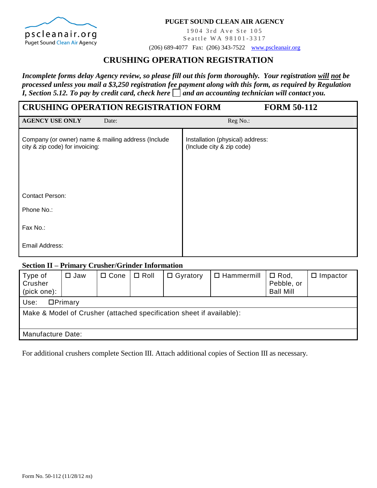

#### **PUGET SOUND CLEAN AIR AGENCY**

1904 3rd Ave Ste 105 Seattle WA 98101-3317

(206) 689-4077 Fax: (206) 343-7522 [www.pscleanair.org](http://www.pscleanair.org/)

# **CRUSHING OPERATION REGISTRATION**

*Incomplete forms delay Agency review, so please fill out this form thoroughly. Your registration will not be processed unless you mail a \$3,250 registration fee payment along with this form, as required by Regulation I, Section 5.12. To pay by credit card, check here*  $\Box$  and an accounting technician will contact you.

| <b>CRUSHING OPERATION REGISTRATION FORM</b>                                           | <b>FORM 50-112</b>                                            |
|---------------------------------------------------------------------------------------|---------------------------------------------------------------|
| <b>AGENCY USE ONLY</b><br>Date:                                                       | Reg No.:                                                      |
| Company (or owner) name & mailing address (Include<br>city & zip code) for invoicing: | Installation (physical) address:<br>(Include city & zip code) |
| <b>Contact Person:</b>                                                                |                                                               |
| Phone No.:                                                                            |                                                               |
| Fax No.:                                                                              |                                                               |
| Email Address:                                                                        |                                                               |

### **Section II – Primary Crusher/Grinder Information**

| Type of<br>Crusher<br>(pick one):                                    | $\square$ Jaw     | $\Box$ Cone | $\Box$ Roll | $\Box$ Gyratory | $\Box$ Hammermill | $\Box$ Rod,<br>Pebble, or<br><b>Ball Mill</b> | $\Box$ Impactor |  |  |
|----------------------------------------------------------------------|-------------------|-------------|-------------|-----------------|-------------------|-----------------------------------------------|-----------------|--|--|
| DPrimary<br>Use:                                                     |                   |             |             |                 |                   |                                               |                 |  |  |
| Make & Model of Crusher (attached specification sheet if available): |                   |             |             |                 |                   |                                               |                 |  |  |
|                                                                      | Manufacture Date: |             |             |                 |                   |                                               |                 |  |  |

For additional crushers complete Section III. Attach additional copies of Section III as necessary.